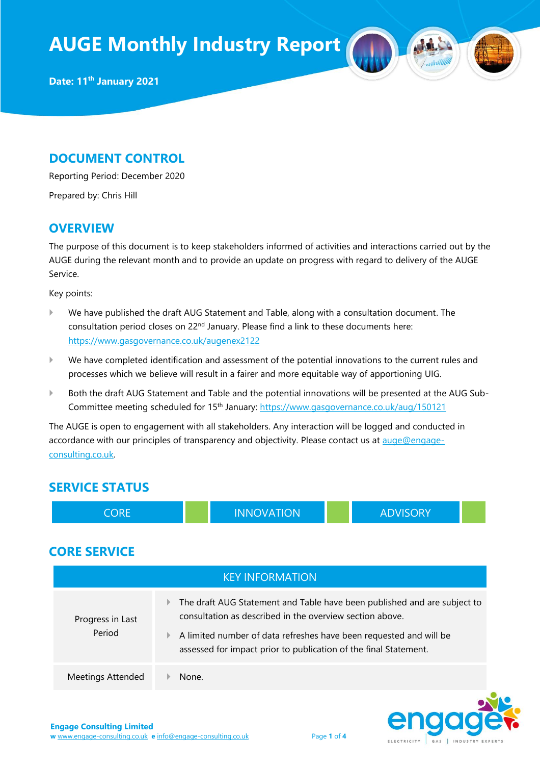**Date: 11th January 2021**

#### **DOCUMENT CONTROL**

Reporting Period: December 2020

Prepared by: Chris Hill

#### **OVERVIEW**

The purpose of this document is to keep stakeholders informed of activities and interactions carried out by the AUGE during the relevant month and to provide an update on progress with regard to delivery of the AUGE Service.

Key points:

- We have published the draft AUG Statement and Table, along with a consultation document. The consultation period closes on 22<sup>nd</sup> January. Please find a link to these documents here: <https://www.gasgovernance.co.uk/augenex2122>
- We have completed identification and assessment of the potential innovations to the current rules and processes which we believe will result in a fairer and more equitable way of apportioning UIG.
- Both the draft AUG Statement and Table and the potential innovations will be presented at the AUG SubCommittee meeting scheduled for 15<sup>th</sup> January:<https://www.gasgovernance.co.uk/aug/150121>

The AUGE is open to engagement with all stakeholders. Any interaction will be logged and conducted in accordance with our principles of transparency and objectivity. Please contact us at [auge@engage](mailto:auge@engage-consulting.co.uk)[consulting.co.uk.](mailto:auge@engage-consulting.co.uk) 

## **SERVICE STATUS**

| <b>CORE</b>                |          | <b>INNOVATION</b>                                                                                                                                                                                                                                                              |  | <b>ADVISORY</b> |  |
|----------------------------|----------|--------------------------------------------------------------------------------------------------------------------------------------------------------------------------------------------------------------------------------------------------------------------------------|--|-----------------|--|
| <b>CORE SERVICE</b>        |          |                                                                                                                                                                                                                                                                                |  |                 |  |
| <b>KEY INFORMATION</b>     |          |                                                                                                                                                                                                                                                                                |  |                 |  |
| Progress in Last<br>Period | Þ.<br>Þ. | The draft AUG Statement and Table have been published and are subject to<br>consultation as described in the overview section above.<br>A limited number of data refreshes have been requested and will be<br>assessed for impact prior to publication of the final Statement. |  |                 |  |
| <b>Meetings Attended</b>   | None.    |                                                                                                                                                                                                                                                                                |  |                 |  |

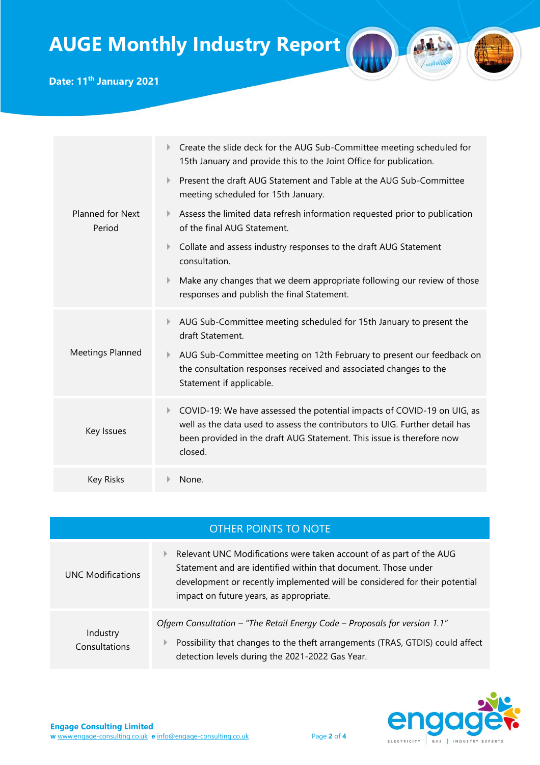

**Date: 11th January 2021**

| Planned for Next<br>Period | Create the slide deck for the AUG Sub-Committee meeting scheduled for<br>Þ<br>15th January and provide this to the Joint Office for publication.                                                                                                 |  |
|----------------------------|--------------------------------------------------------------------------------------------------------------------------------------------------------------------------------------------------------------------------------------------------|--|
|                            | Present the draft AUG Statement and Table at the AUG Sub-Committee<br>Þ<br>meeting scheduled for 15th January.                                                                                                                                   |  |
|                            | Assess the limited data refresh information requested prior to publication<br>Þ.<br>of the final AUG Statement.                                                                                                                                  |  |
|                            | Collate and assess industry responses to the draft AUG Statement<br>Þ.<br>consultation.                                                                                                                                                          |  |
|                            | Make any changes that we deem appropriate following our review of those<br>Þ<br>responses and publish the final Statement.                                                                                                                       |  |
| Meetings Planned           | AUG Sub-Committee meeting scheduled for 15th January to present the<br>Þ<br>draft Statement.                                                                                                                                                     |  |
|                            | AUG Sub-Committee meeting on 12th February to present our feedback on<br>Þ.<br>the consultation responses received and associated changes to the<br>Statement if applicable.                                                                     |  |
| Key Issues                 | COVID-19: We have assessed the potential impacts of COVID-19 on UIG, as<br>Þ.<br>well as the data used to assess the contributors to UIG. Further detail has<br>been provided in the draft AUG Statement. This issue is therefore now<br>closed. |  |
| <b>Key Risks</b>           | None.                                                                                                                                                                                                                                            |  |

|                           | OTHER POINTS TO NOTE                                                                                                                                                                                                                                           |
|---------------------------|----------------------------------------------------------------------------------------------------------------------------------------------------------------------------------------------------------------------------------------------------------------|
| <b>UNC Modifications</b>  | Relevant UNC Modifications were taken account of as part of the AUG<br>Statement and are identified within that document. Those under<br>development or recently implemented will be considered for their potential<br>impact on future years, as appropriate. |
| Industry<br>Consultations | Ofgem Consultation - "The Retail Energy Code - Proposals for version 1.1"<br>Possibility that changes to the theft arrangements (TRAS, GTDIS) could affect<br>detection levels during the 2021-2022 Gas Year.                                                  |

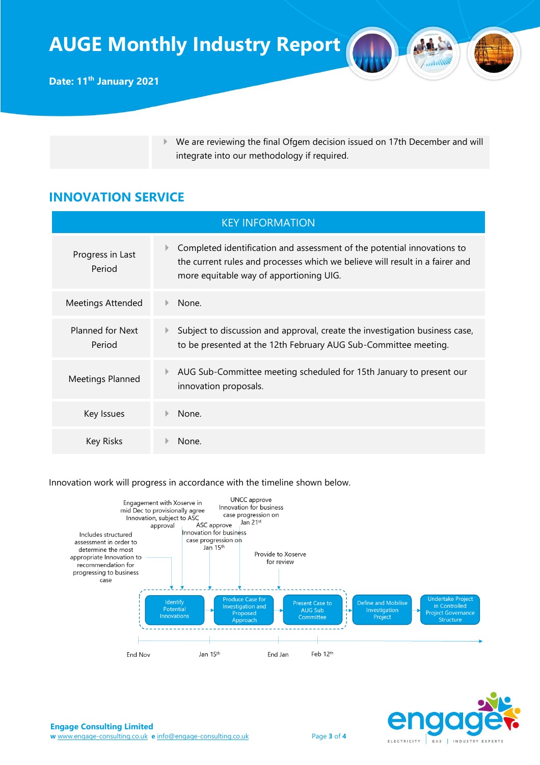We are reviewing the final Ofgem decision issued on 17th December and will integrate into our methodology if required.

## **INNOVATION SERVICE**

| <b>KEY INFORMATION</b>     |                                                                                                                                                                                                    |  |
|----------------------------|----------------------------------------------------------------------------------------------------------------------------------------------------------------------------------------------------|--|
| Progress in Last<br>Period | Completed identification and assessment of the potential innovations to<br>the current rules and processes which we believe will result in a fairer and<br>more equitable way of apportioning UIG. |  |
| <b>Meetings Attended</b>   | None.                                                                                                                                                                                              |  |
| Planned for Next<br>Period | Subject to discussion and approval, create the investigation business case,<br>to be presented at the 12th February AUG Sub-Committee meeting.                                                     |  |
| Meetings Planned           | AUG Sub-Committee meeting scheduled for 15th January to present our<br>innovation proposals.                                                                                                       |  |
| Key Issues                 | None.                                                                                                                                                                                              |  |
| Key Risks                  | None.                                                                                                                                                                                              |  |

Innovation work will progress in accordance with the timeline shown below.